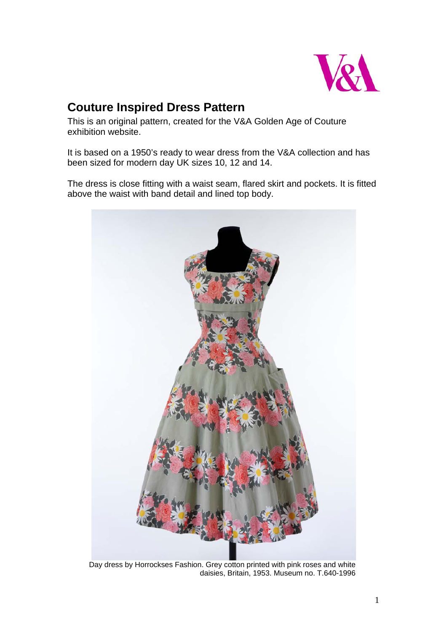

# **Couture Inspired Dress Pattern**

This is an original pattern, created for the V&A Golden Age of Couture exhibition website.

It is based on a 1950's ready to wear dress from the V&A collection and has been sized for modern day UK sizes 10, 12 and 14.

The dress is close fitting with a waist seam, flared skirt and pockets. It is fitted above the waist with band detail and lined top body.



Day dress by Horrockses Fashion. Grey cotton printed with pink roses and white daisies, Britain, 1953. Museum no. T.640-1996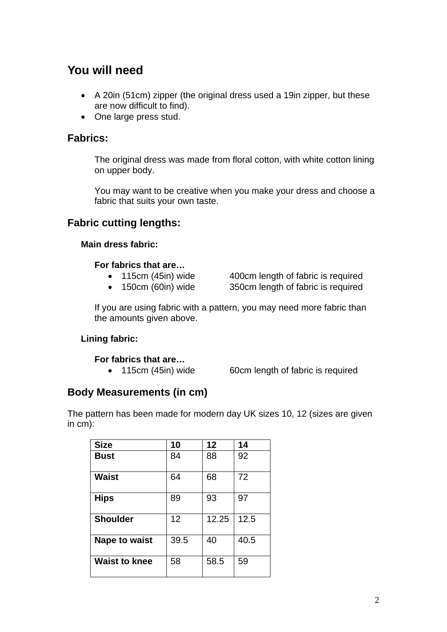# **You will need**

- A 20in (51cm) zipper (the original dress used a 19in zipper, but these are now difficult to find).
- One large press stud.

## **Fabrics:**

The original dress was made from floral cotton, with white cotton lining on upper body.

You may want to be creative when you make your dress and choose a fabric that suits your own taste.

# **Fabric cutting lengths:**

## **Main dress fabric:**

## **For fabrics that are…**

- 
- 115cm (45in) wide 400cm length of fabric is required
- 150cm (60in) wide 350cm length of fabric is required

If you are using fabric with a pattern, you may need more fabric than the amounts given above.

## **Lining fabric:**

## **For fabrics that are…**

• 115cm (45in) wide 60cm length of fabric is required

# **Body Measurements (in cm)**

The pattern has been made for modern day UK sizes 10, 12 (sizes are given in cm):

| <b>Size</b>          | 10   | 12    | 14   |
|----------------------|------|-------|------|
| <b>Bust</b>          | 84   | 88    | 92   |
| <b>Waist</b>         | 64   | 68    | 72   |
| <b>Hips</b>          | 89   | 93    | 97   |
| <b>Shoulder</b>      | 12   | 12.25 | 12.5 |
| Nape to waist        | 39.5 | 40    | 40.5 |
| <b>Waist to knee</b> | 58   | 58.5  | 59   |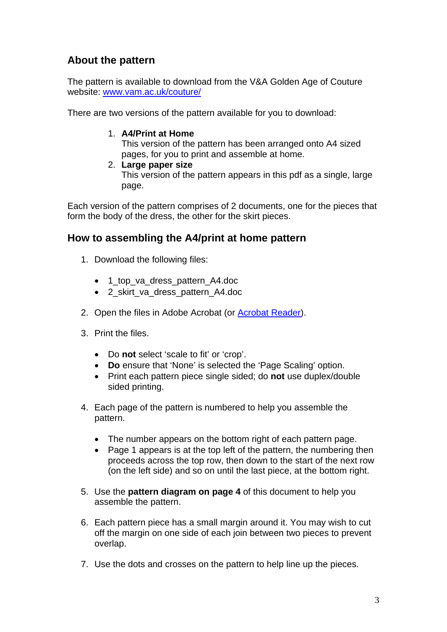# **About the pattern**

The pattern is available to download from the V&A Golden Age of Couture website: www.vam.ac.uk/couture/

There are two versions of the pattern available for you to download:

. **A4/Print at Home** 1

This version of the pattern has been arranged onto A4 sized pages, for you to print and assemble at home.

2. **Large paper size**

This version of the pattern appears in this pdf as a single, large page.

Each version of the pattern comprises of 2 documents, one for the pieces that form the body of the dress, the other for the skirt pieces.

# How to assembling the A4/print at home pattern

- 1. Download the following files:
	- 1\_top\_va\_dress\_pattern\_A4.doc
	- 2 skirt va dress pattern A4.doc
- 2. Open the files in Adobe Acrobat (or **Acrobat Reader**).
- 3. Print the files.
	- Do not select 'scale to fit' or 'crop'.
	- **Do** ensure that 'None' is selected the 'Page Scaling' option.
	- Print each pattern piece single sided; do **not** use duplex/double sided printing.
- 4. Each page of the pattern is numbered to help you assemble the pattern.
	- The number appears on the bottom right of each pattern page.
	- Page 1 appears is at the top left of the pattern, the numbering then proceeds across the top row, then down to the start of the next row (on the left side) and so on until the last piece, at the bottom right.
- 5. Use the **pattern diagram on page 4** of this document to help you assemble the pattern.
- 6. Each pattern piece has a small margin around it. You may wish to cut off the margin on one side of each join between two pieces to prevent overlap.
- 7. Use the dots and crosses on the pattern to help line up the pieces.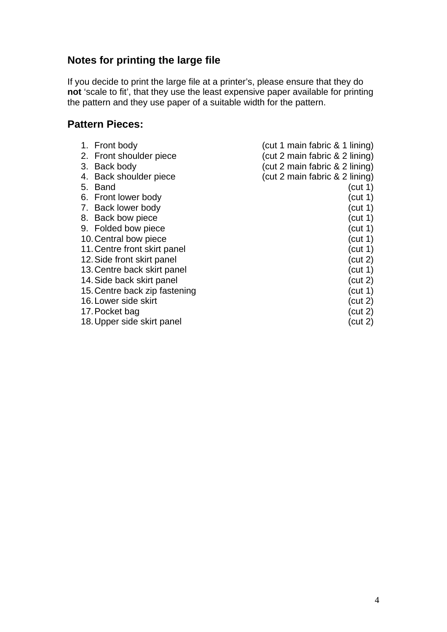# **Notes for printing the large file**

e pattern and they use paper of a suitable width for the pattern. If you decide to print the large file at a printer's, please ensure that they do **not** 'scale to fit', that they use the least expensive paper available for printing th

## **Pattern Pieces:**

| 1. Front body                 | (cut 1 main fabric & 1 lining) |
|-------------------------------|--------------------------------|
| 2. Front shoulder piece       | (cut 2 main fabric & 2 lining) |
| 3. Back body                  | (cut 2 main fabric & 2 lining) |
| 4. Back shoulder piece        | (cut 2 main fabric & 2 lining) |
| Band<br>5.                    | (cut 1)                        |
| 6. Front lower body           | (cut 1)                        |
| 7. Back lower body            | (cut 1)                        |
| 8. Back bow piece             | (cut 1)                        |
| 9. Folded bow piece           | (cut 1)                        |
| 10. Central bow piece         | (cut 1)                        |
| 11. Centre front skirt panel  | (cut 1)                        |
| 12. Side front skirt panel    | (cut 2)                        |
| 13. Centre back skirt panel   | (cut 1)                        |
| 14. Side back skirt panel     | (cut 2)                        |
| 15. Centre back zip fastening | (cut 1)                        |
| 16. Lower side skirt          | (cut 2)                        |
| 17. Pocket bag                | (cut 2)                        |
| 18. Upper side skirt panel    | (cut 2)                        |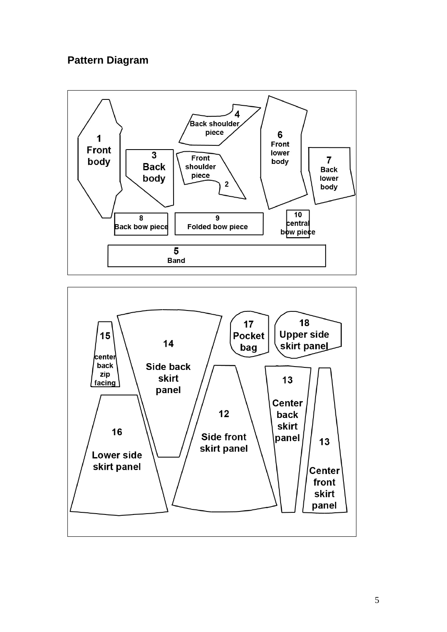# **Pattern Diagram**



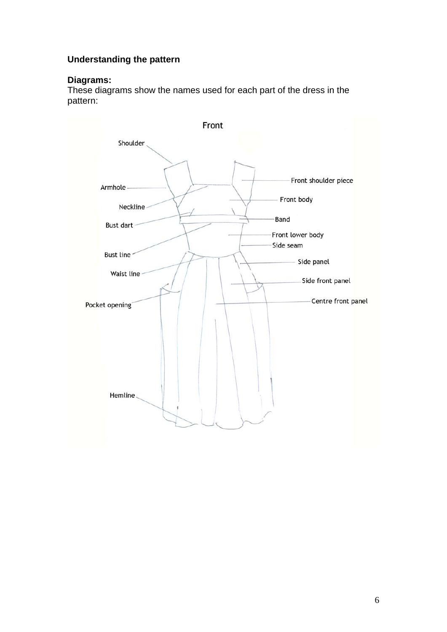## **Understanding the pattern**

#### **iagrams: D**

hese diagrams show the names used for each part of the dress in the T pattern:

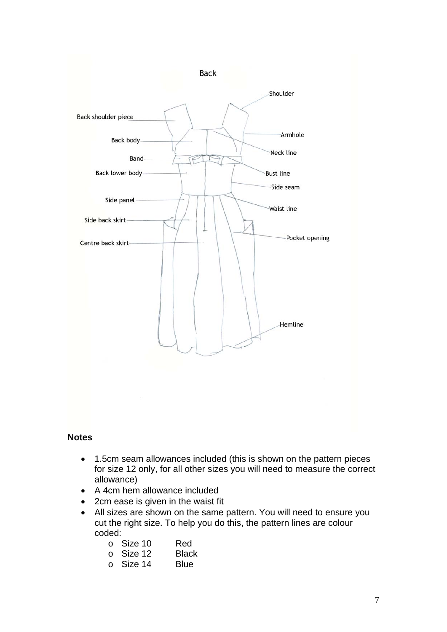

#### **Notes**

- 1.5cm seam allowances included (this is shown on the pattern pieces for size 12 only, for all other sizes you will need to measure the correct allowance)
- A 4cm hem allowance included
- 2cm ease is given in the waist fit
- All sizes are shown on the same pattern. You will need to ensure you cut the right size. To help you do this, the pattern lines are colour coded:

| $\circ$ Size 10 | Red |
|-----------------|-----|
|                 |     |

- o Size 12 Black
- o Size 14 Blue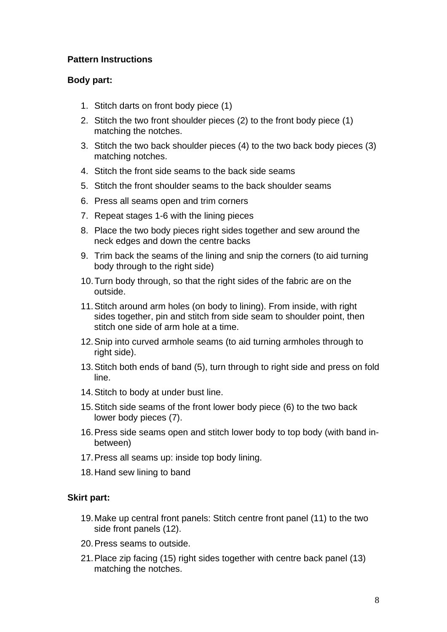## **Pattern Instructions**

## **Body part:**

- 1. Stitch darts on front body piece (1)
- 2. Stitch the two front shoulder pieces (2) to the front body piece (1) matching the notches.
- 3. Stitch the two back shoulder pieces (4) to the two back body pieces (3) matching notches.
- 4. Stitch the front side seams to the back side seams
- 5. Stitch the front shoulder seams to the back shoulder seams
- 6. Press all seams open and trim corners
- 7. Repeat stages 1-6 with the lining pieces
- 8. Place the two body pieces right sides together and sew around the neck edges and down the centre backs
- 9. Trim back the seams of the lining and snip the corners (to aid turning body through to the right side)
- 10. Turn body through, so that the right sides of the fabric are on the outside.
- 11. Stitch around arm holes (on body to lining). From inside, with right sides together, pin and stitch from side seam to shoulder point, then stitch one side of arm hole at a time.
- 12. Snip into curved armhole seams (to aid turning armholes through to right side).
- 13. Stitch both ends of band (5), turn through to right side and press on fold line.
- 14. Stitch to body at under bust line.
- 15. Stitch side seams of the front lower body piece (6) to the two back lower body pieces (7).
- 16. Press side seams open and stitch lower body to top body (with band inbetween)
- 17. Press all seams up: inside top body lining.
- 18. Hand sew lining to band

## **Skirt part:**

- 19. Make up central front panels: Stitch centre front panel (11) to the two side front panels (12).
- 20. Press seams to outside.
- 21. Place zip facing (15) right sides together with centre back panel (13) matching the notches.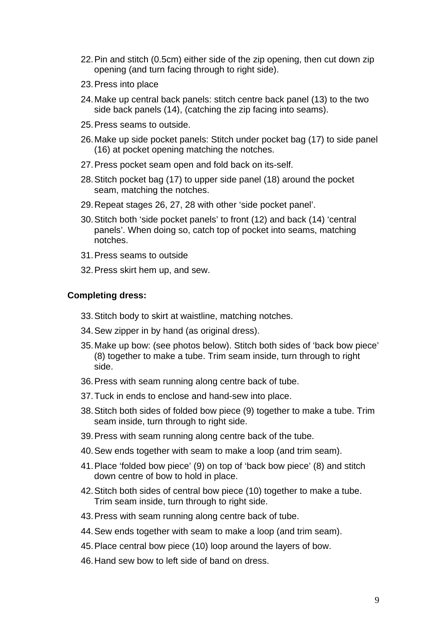- 22. Pin and stitch (0.5cm) either side of the zip opening, then cut down zip opening (and turn facing through to right side).
- 23. Press into place
- 24. Make up central back panels: stitch centre back panel (13) to the two side back panels (14), (catching the zip facing into seams).
- 25. Press seams to outside.
- 26. Make up side pocket panels: Stitch under pocket bag (17) to side panel (16) at pocket opening matching the notches.
- 27. Press pocket seam open and fold back on its-self.
- 28. Stitch pocket bag (17) to upper side panel (18) around the pocket seam, matching the notches.
- 29. Repeat stages 26, 27, 28 with other 'side pocket panel'.
- 30. Stitch both 'side pocket panels' to front (12) and back (14) 'central panels'. When doing so, catch top of pocket into seams, matching notches.
- 31. Press seams to outside
- 32. Press skirt hem up, and sew.

## **Completing dress:**

- 33. Stitch body to skirt at waistline, matching notches.
- 34. Sew zipper in by hand (as original dress).
- 35. Make up bow: (see photos below). Stitch both sides of 'back bow piece' (8) together to make a tube. Trim seam inside, turn through to right side.
- 36. Press with seam running along centre back of tube.
- 37. Tuck in ends to enclose and hand-sew into place.
- 38. Stitch both sides of folded bow piece (9) together to make a tube. Trim seam inside, turn through to right side.
- 39. Press with seam running along centre back of the tube.
- 40. Sew ends together with seam to make a loop (and trim seam).
- 41. Place 'folded bow piece' (9) on top of 'back bow piece' (8) and stitch down centre of bow to hold in place.
- 42. Stitch both sides of central bow piece (10) together to make a tube. Trim seam inside, turn through to right side.
- 43. Press with seam running along centre back of tube.
- 44. Sew ends together with seam to make a loop (and trim seam).
- 45. Place central bow piece (10) loop around the layers of bow.
- 46. Hand sew bow to left side of band on dress.